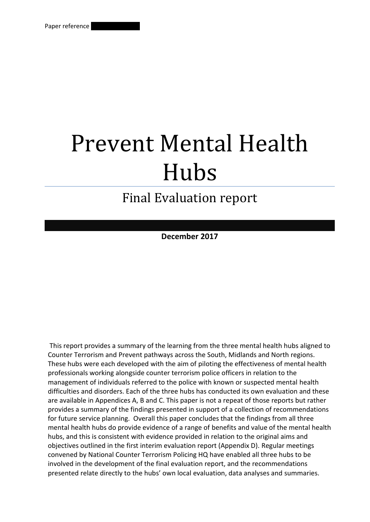# Prevent Mental Health Hubs

# Final Evaluation report

**December 2017**

This report provides a summary of the learning from the three mental health hubs aligned to Counter Terrorism and Prevent pathways across the South, Midlands and North regions. These hubs were each developed with the aim of piloting the effectiveness of mental health professionals working alongside counter terrorism police officers in relation to the management of individuals referred to the police with known or suspected mental health difficulties and disorders. Each of the three hubs has conducted its own evaluation and these are available in Appendices A, B and C. This paper is not a repeat of those reports but rather provides a summary of the findings presented in support of a collection of recommendations for future service planning. Overall this paper concludes that the findings from all three mental health hubs do provide evidence of a range of benefits and value of the mental health hubs, and this is consistent with evidence provided in relation to the original aims and objectives outlined in the first interim evaluation report (Appendix D). Regular meetings convened by National Counter Terrorism Policing HQ have enabled all three hubs to be involved in the development of the final evaluation report, and the recommendations presented relate directly to the hubs' own local evaluation, data analyses and summaries.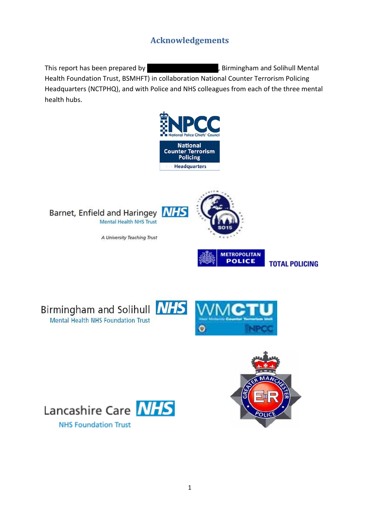# **Acknowledgements**

This report has been prepared by xxxxxxxxxxxxxxxxxxxxxx, Birmingham and Solihull Mental Health Foundation Trust, BSMHFT) in collaboration National Counter Terrorism Policing Headquarters (NCTPHQ), and with Police and NHS colleagues from each of the three mental health hubs.





A University Teaching Trust





Birmingham and Solihull **NHS** Mental Health NHS Foundation Trust







**NHS Foundation Trust**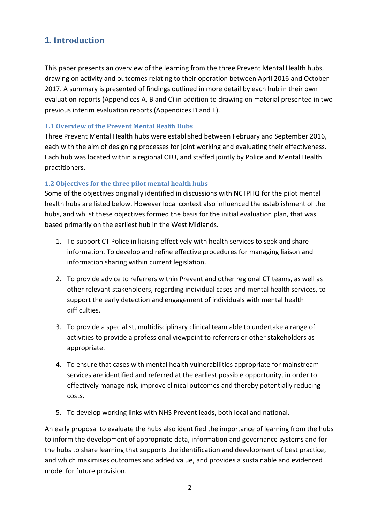# **1. Introduction**

This paper presents an overview of the learning from the three Prevent Mental Health hubs, drawing on activity and outcomes relating to their operation between April 2016 and October 2017. A summary is presented of findings outlined in more detail by each hub in their own evaluation reports (Appendices A, B and C) in addition to drawing on material presented in two previous interim evaluation reports (Appendices D and E).

#### **1.1 Overview of the Prevent Mental Health Hubs**

Three Prevent Mental Health hubs were established between February and September 2016, each with the aim of designing processes for joint working and evaluating their effectiveness. Each hub was located within a regional CTU, and staffed jointly by Police and Mental Health practitioners.

#### **1.2 Objectives for the three pilot mental health hubs**

Some of the objectives originally identified in discussions with NCTPHQ for the pilot mental health hubs are listed below. However local context also influenced the establishment of the hubs, and whilst these objectives formed the basis for the initial evaluation plan, that was based primarily on the earliest hub in the West Midlands.

- 1. To support CT Police in liaising effectively with health services to seek and share information. To develop and refine effective procedures for managing liaison and information sharing within current legislation.
- 2. To provide advice to referrers within Prevent and other regional CT teams, as well as other relevant stakeholders, regarding individual cases and mental health services, to support the early detection and engagement of individuals with mental health difficulties.
- 3. To provide a specialist, multidisciplinary clinical team able to undertake a range of activities to provide a professional viewpoint to referrers or other stakeholders as appropriate.
- 4. To ensure that cases with mental health vulnerabilities appropriate for mainstream services are identified and referred at the earliest possible opportunity, in order to effectively manage risk, improve clinical outcomes and thereby potentially reducing costs.
- 5. To develop working links with NHS Prevent leads, both local and national.

An early proposal to evaluate the hubs also identified the importance of learning from the hubs to inform the development of appropriate data, information and governance systems and for the hubs to share learning that supports the identification and development of best practice, and which maximises outcomes and added value, and provides a sustainable and evidenced model for future provision.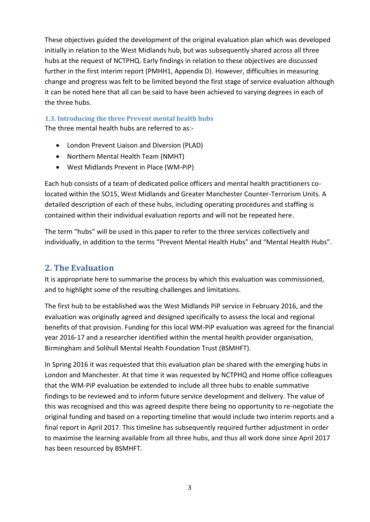These objectives guided the development of the original evaluation plan which was developed initially in relation to the West Midlands hub, but was subsequently shared across all three hubs at the request of NCTPHQ. Early findings in relation to these objectives are discussed further in the first interim report (PMHH1, Appendix D). However, difficulties in measuring change and progress was felt to be limited beyond the first stage of service evaluation although it can be noted here that all can be said to have been achieved to varying degrees in each of the three hubs.

# **1.3. Introducing the three Prevent mental health hubs**

The three mental health hubs are referred to as:-

- London Prevent Liaison and Diversion (PLAD)
- Northern Mental Health Team (NMHT)
- West Midlands Prevent in Place (WM-PiP)

Each hub consists of a team of dedicated police officers and mental health practitioners colocated within the SO15, West Midlands and Greater Manchester Counter-Terrorism Units. A detailed description of each of these hubs, including operating procedures and staffing is contained within their individual evaluation reports and will not be repeated here.

The term "hubs" will be used in this paper to refer to the three services collectively and individually, in addition to the terms "Prevent Mental Health Hubs" and "Mental Health Hubs".

# **2. The Evaluation**

It is appropriate here to summarise the process by which this evaluation was commissioned, and to highlight some of the resulting challenges and limitations.

The first hub to be established was the West Midlands PiP service in February 2016, and the evaluation was originally agreed and designed specifically to assess the local and regional benefits of that provision. Funding for this local WM-PiP evaluation was agreed for the financial year 2016-17 and a researcher identified within the mental health provider organisation, Birmingham and Solihull Mental Health Foundation Trust (BSMHFT).

In Spring 2016 it was requested that this evaluation plan be shared with the emerging hubs in London and Manchester. At that time it was requested by NCTPHQ and Home office colleagues that the WM-PiP evaluation be extended to include all three hubs to enable summative findings to be reviewed and to inform future service development and delivery. The value of this was recognised and this was agreed despite there being no opportunity to re-negotiate the original funding and based on a reporting timeline that would include two interim reports and a final report in April 2017. This timeline has subsequently required further adjustment in order to maximise the learning available from all three hubs, and thus all work done since April 2017 has been resourced by BSMHFT.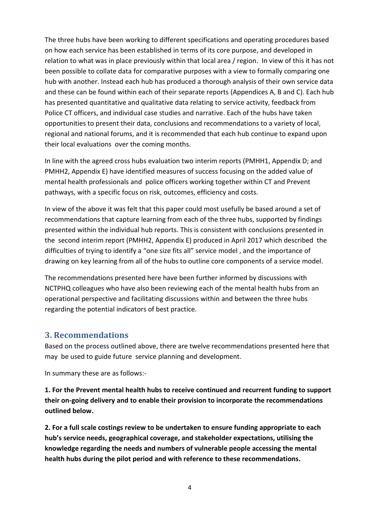The three hubs have been working to different specifications and operating procedures based on how each service has been established in terms of its core purpose, and developed in relation to what was in place previously within that local area / region. In view of this it has not been possible to collate data for comparative purposes with a view to formally comparing one hub with another. Instead each hub has produced a thorough analysis of their own service data and these can be found within each of their separate reports (Appendices A, B and C). Each hub has presented quantitative and qualitative data relating to service activity, feedback from Police CT officers, and individual case studies and narrative. Each of the hubs have taken opportunities to present their data, conclusions and recommendations to a variety of local, regional and national forums, and it is recommended that each hub continue to expand upon their local evaluations over the coming months.

In line with the agreed cross hubs evaluation two interim reports (PMHH1, Appendix D; and PMHH2, Appendix E) have identified measures of success focusing on the added value of mental health professionals and police officers working together within CT and Prevent pathways, with a specific focus on risk, outcomes, efficiency and costs.

In view of the above it was felt that this paper could most usefully be based around a set of recommendations that capture learning from each of the three hubs, supported by findings presented within the individual hub reports. This is consistent with conclusions presented in the second interim report (PMHH2, Appendix E) produced in April 2017 which described the difficulties of trying to identify a "one size fits all" service model , and the importance of drawing on key learning from all of the hubs to outline core components of a service model.

The recommendations presented here have been further informed by discussions with NCTPHQ colleagues who have also been reviewing each of the mental health hubs from an operational perspective and facilitating discussions within and between the three hubs regarding the potential indicators of best practice.

#### **3. Recommendations**

Based on the process outlined above, there are twelve recommendations presented here that may be used to guide future service planning and development.

In summary these are as follows:-

**1. For the Prevent mental health hubs to receive continued and recurrent funding to support their on-going delivery and to enable their provision to incorporate the recommendations outlined below.**

**2. For a full scale costings review to be undertaken to ensure funding appropriate to each hub's service needs, geographical coverage, and stakeholder expectations, utilising the knowledge regarding the needs and numbers of vulnerable people accessing the mental health hubs during the pilot period and with reference to these recommendations.**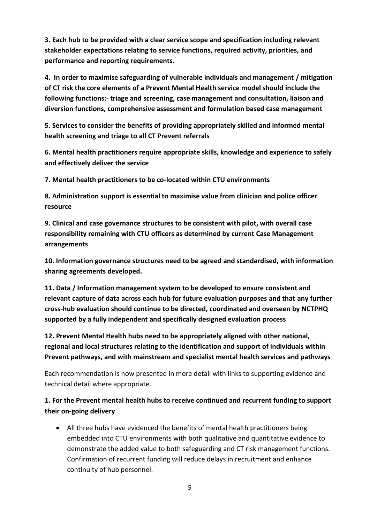**3. Each hub to be provided with a clear service scope and specification including relevant stakeholder expectations relating to service functions, required activity, priorities, and performance and reporting requirements.**

**4. In order to maximise safeguarding of vulnerable individuals and management / mitigation of CT risk the core elements of a Prevent Mental Health service model should include the following functions:- triage and screening, case management and consultation, liaison and diversion functions, comprehensive assessment and formulation based case management** 

**5. Services to consider the benefits of providing appropriately skilled and informed mental health screening and triage to all CT Prevent referrals**

**6. Mental health practitioners require appropriate skills, knowledge and experience to safely and effectively deliver the service**

**7. Mental health practitioners to be co-located within CTU environments**

**8. Administration support is essential to maximise value from clinician and police officer resource**

**9. Clinical and case governance structures to be consistent with pilot, with overall case responsibility remaining with CTU officers as determined by current Case Management arrangements**

**10. Information governance structures need to be agreed and standardised, with information sharing agreements developed.**

**11. Data / Information management system to be developed to ensure consistent and relevant capture of data across each hub for future evaluation purposes and that any further cross-hub evaluation should continue to be directed, coordinated and overseen by NCTPHQ supported by a fully independent and specifically designed evaluation process**

**12. Prevent Mental Health hubs need to be appropriately aligned with other national, regional and local structures relating to the identification and support of individuals within Prevent pathways, and with mainstream and specialist mental health services and pathways**

Each recommendation is now presented in more detail with links to supporting evidence and technical detail where appropriate.

#### **1. For the Prevent mental health hubs to receive continued and recurrent funding to support their on-going delivery**

 All three hubs have evidenced the benefits of mental health practitioners being embedded into CTU environments with both qualitative and quantitative evidence to demonstrate the added value to both safeguarding and CT risk management functions. Confirmation of recurrent funding will reduce delays in recruitment and enhance continuity of hub personnel.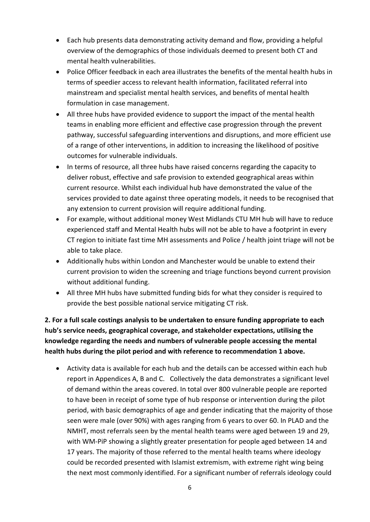- Each hub presents data demonstrating activity demand and flow, providing a helpful overview of the demographics of those individuals deemed to present both CT and mental health vulnerabilities.
- Police Officer feedback in each area illustrates the benefits of the mental health hubs in terms of speedier access to relevant health information, facilitated referral into mainstream and specialist mental health services, and benefits of mental health formulation in case management.
- All three hubs have provided evidence to support the impact of the mental health teams in enabling more efficient and effective case progression through the prevent pathway, successful safeguarding interventions and disruptions, and more efficient use of a range of other interventions, in addition to increasing the likelihood of positive outcomes for vulnerable individuals.
- In terms of resource, all three hubs have raised concerns regarding the capacity to deliver robust, effective and safe provision to extended geographical areas within current resource. Whilst each individual hub have demonstrated the value of the services provided to date against three operating models, it needs to be recognised that any extension to current provision will require additional funding.
- For example, without additional money West Midlands CTU MH hub will have to reduce experienced staff and Mental Health hubs will not be able to have a footprint in every CT region to initiate fast time MH assessments and Police / health joint triage will not be able to take place.
- Additionally hubs within London and Manchester would be unable to extend their current provision to widen the screening and triage functions beyond current provision without additional funding.
- All three MH hubs have submitted funding bids for what they consider is required to provide the best possible national service mitigating CT risk.

**2. For a full scale costings analysis to be undertaken to ensure funding appropriate to each hub's service needs, geographical coverage, and stakeholder expectations, utilising the knowledge regarding the needs and numbers of vulnerable people accessing the mental health hubs during the pilot period and with reference to recommendation 1 above.** 

 Activity data is available for each hub and the details can be accessed within each hub report in Appendices A, B and C. Collectively the data demonstrates a significant level of demand within the areas covered. In total over 800 vulnerable people are reported to have been in receipt of some type of hub response or intervention during the pilot period, with basic demographics of age and gender indicating that the majority of those seen were male (over 90%) with ages ranging from 6 years to over 60. In PLAD and the NMHT, most referrals seen by the mental health teams were aged between 19 and 29, with WM-PiP showing a slightly greater presentation for people aged between 14 and 17 years. The majority of those referred to the mental health teams where ideology could be recorded presented with Islamist extremism, with extreme right wing being the next most commonly identified. For a significant number of referrals ideology could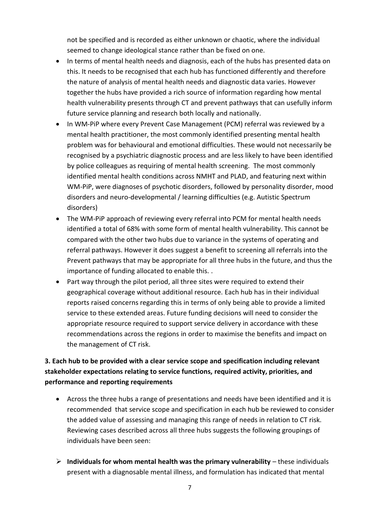not be specified and is recorded as either unknown or chaotic, where the individual seemed to change ideological stance rather than be fixed on one.

- In terms of mental health needs and diagnosis, each of the hubs has presented data on this. It needs to be recognised that each hub has functioned differently and therefore the nature of analysis of mental health needs and diagnostic data varies. However together the hubs have provided a rich source of information regarding how mental health vulnerability presents through CT and prevent pathways that can usefully inform future service planning and research both locally and nationally.
- In WM-PiP where every Prevent Case Management (PCM) referral was reviewed by a mental health practitioner, the most commonly identified presenting mental health problem was for behavioural and emotional difficulties. These would not necessarily be recognised by a psychiatric diagnostic process and are less likely to have been identified by police colleagues as requiring of mental health screening. The most commonly identified mental health conditions across NMHT and PLAD, and featuring next within WM-PiP, were diagnoses of psychotic disorders, followed by personality disorder, mood disorders and neuro-developmental / learning difficulties (e.g. Autistic Spectrum disorders)
- The WM-PiP approach of reviewing every referral into PCM for mental health needs identified a total of 68% with some form of mental health vulnerability. This cannot be compared with the other two hubs due to variance in the systems of operating and referral pathways. However it does suggest a benefit to screening all referrals into the Prevent pathways that may be appropriate for all three hubs in the future, and thus the importance of funding allocated to enable this. .
- Part way through the pilot period, all three sites were required to extend their geographical coverage without additional resource. Each hub has in their individual reports raised concerns regarding this in terms of only being able to provide a limited service to these extended areas. Future funding decisions will need to consider the appropriate resource required to support service delivery in accordance with these recommendations across the regions in order to maximise the benefits and impact on the management of CT risk.

#### **3. Each hub to be provided with a clear service scope and specification including relevant stakeholder expectations relating to service functions, required activity, priorities, and performance and reporting requirements**

- Across the three hubs a range of presentations and needs have been identified and it is recommended that service scope and specification in each hub be reviewed to consider the added value of assessing and managing this range of needs in relation to CT risk. Reviewing cases described across all three hubs suggests the following groupings of individuals have been seen:
- **Individuals for whom mental health was the primary vulnerability** these individuals present with a diagnosable mental illness, and formulation has indicated that mental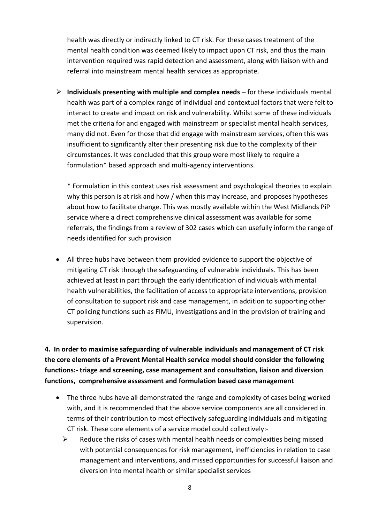health was directly or indirectly linked to CT risk. For these cases treatment of the mental health condition was deemed likely to impact upon CT risk, and thus the main intervention required was rapid detection and assessment, along with liaison with and referral into mainstream mental health services as appropriate.

 **Individuals presenting with multiple and complex needs** – for these individuals mental health was part of a complex range of individual and contextual factors that were felt to interact to create and impact on risk and vulnerability. Whilst some of these individuals met the criteria for and engaged with mainstream or specialist mental health services, many did not. Even for those that did engage with mainstream services, often this was insufficient to significantly alter their presenting risk due to the complexity of their circumstances. It was concluded that this group were most likely to require a formulation\* based approach and multi-agency interventions.

\* Formulation in this context uses risk assessment and psychological theories to explain why this person is at risk and how / when this may increase, and proposes hypotheses about how to facilitate change. This was mostly available within the West Midlands PiP service where a direct comprehensive clinical assessment was available for some referrals, the findings from a review of 302 cases which can usefully inform the range of needs identified for such provision

 All three hubs have between them provided evidence to support the objective of mitigating CT risk through the safeguarding of vulnerable individuals. This has been achieved at least in part through the early identification of individuals with mental health vulnerabilities, the facilitation of access to appropriate interventions, provision of consultation to support risk and case management, in addition to supporting other CT policing functions such as FIMU, investigations and in the provision of training and supervision.

**4. In order to maximise safeguarding of vulnerable individuals and management of CT risk the core elements of a Prevent Mental Health service model should consider the following functions:- triage and screening, case management and consultation, liaison and diversion functions, comprehensive assessment and formulation based case management**

- The three hubs have all demonstrated the range and complexity of cases being worked with, and it is recommended that the above service components are all considered in terms of their contribution to most effectively safeguarding individuals and mitigating CT risk. These core elements of a service model could collectively:-
	- $\triangleright$  Reduce the risks of cases with mental health needs or complexities being missed with potential consequences for risk management, inefficiencies in relation to case management and interventions, and missed opportunities for successful liaison and diversion into mental health or similar specialist services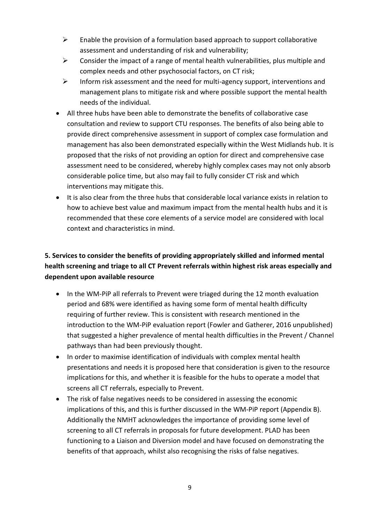- $\triangleright$  Enable the provision of a formulation based approach to support collaborative assessment and understanding of risk and vulnerability;
- $\triangleright$  Consider the impact of a range of mental health vulnerabilities, plus multiple and complex needs and other psychosocial factors, on CT risk;
- $\triangleright$  Inform risk assessment and the need for multi-agency support, interventions and management plans to mitigate risk and where possible support the mental health needs of the individual.
- All three hubs have been able to demonstrate the benefits of collaborative case consultation and review to support CTU responses. The benefits of also being able to provide direct comprehensive assessment in support of complex case formulation and management has also been demonstrated especially within the West Midlands hub. It is proposed that the risks of not providing an option for direct and comprehensive case assessment need to be considered, whereby highly complex cases may not only absorb considerable police time, but also may fail to fully consider CT risk and which interventions may mitigate this.
- It is also clear from the three hubs that considerable local variance exists in relation to how to achieve best value and maximum impact from the mental health hubs and it is recommended that these core elements of a service model are considered with local context and characteristics in mind.

## **5. Services to consider the benefits of providing appropriately skilled and informed mental health screening and triage to all CT Prevent referrals within highest risk areas especially and dependent upon available resource**

- In the WM-PiP all referrals to Prevent were triaged during the 12 month evaluation period and 68% were identified as having some form of mental health difficulty requiring of further review. This is consistent with research mentioned in the introduction to the WM-PiP evaluation report (Fowler and Gatherer, 2016 unpublished) that suggested a higher prevalence of mental health difficulties in the Prevent / Channel pathways than had been previously thought.
- In order to maximise identification of individuals with complex mental health presentations and needs it is proposed here that consideration is given to the resource implications for this, and whether it is feasible for the hubs to operate a model that screens all CT referrals, especially to Prevent.
- The risk of false negatives needs to be considered in assessing the economic implications of this, and this is further discussed in the WM-PiP report (Appendix B). Additionally the NMHT acknowledges the importance of providing some level of screening to all CT referrals in proposals for future development. PLAD has been functioning to a Liaison and Diversion model and have focused on demonstrating the benefits of that approach, whilst also recognising the risks of false negatives.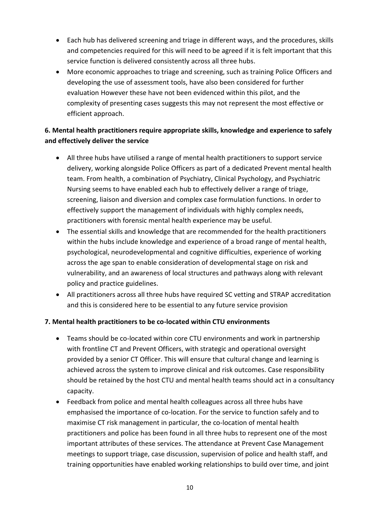- Each hub has delivered screening and triage in different ways, and the procedures, skills and competencies required for this will need to be agreed if it is felt important that this service function is delivered consistently across all three hubs.
- More economic approaches to triage and screening, such as training Police Officers and developing the use of assessment tools, have also been considered for further evaluation However these have not been evidenced within this pilot, and the complexity of presenting cases suggests this may not represent the most effective or efficient approach.

#### **6. Mental health practitioners require appropriate skills, knowledge and experience to safely and effectively deliver the service**

- All three hubs have utilised a range of mental health practitioners to support service delivery, working alongside Police Officers as part of a dedicated Prevent mental health team. From health, a combination of Psychiatry, Clinical Psychology, and Psychiatric Nursing seems to have enabled each hub to effectively deliver a range of triage, screening, liaison and diversion and complex case formulation functions. In order to effectively support the management of individuals with highly complex needs, practitioners with forensic mental health experience may be useful.
- The essential skills and knowledge that are recommended for the health practitioners within the hubs include knowledge and experience of a broad range of mental health, psychological, neurodevelopmental and cognitive difficulties, experience of working across the age span to enable consideration of developmental stage on risk and vulnerability, and an awareness of local structures and pathways along with relevant policy and practice guidelines.
- All practitioners across all three hubs have required SC vetting and STRAP accreditation and this is considered here to be essential to any future service provision

#### **7. Mental health practitioners to be co-located within CTU environments**

- Teams should be co-located within core CTU environments and work in partnership with frontline CT and Prevent Officers, with strategic and operational oversight provided by a senior CT Officer. This will ensure that cultural change and learning is achieved across the system to improve clinical and risk outcomes. Case responsibility should be retained by the host CTU and mental health teams should act in a consultancy capacity.
- Feedback from police and mental health colleagues across all three hubs have emphasised the importance of co-location. For the service to function safely and to maximise CT risk management in particular, the co-location of mental health practitioners and police has been found in all three hubs to represent one of the most important attributes of these services. The attendance at Prevent Case Management meetings to support triage, case discussion, supervision of police and health staff, and training opportunities have enabled working relationships to build over time, and joint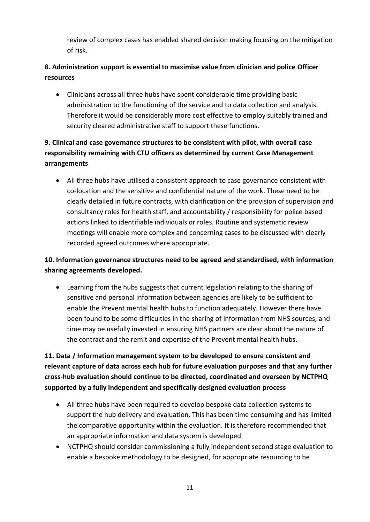review of complex cases has enabled shared decision making focusing on the mitigation of risk.

## **8. Administration support is essential to maximise value from clinician and police Officer resources**

 Clinicians across all three hubs have spent considerable time providing basic administration to the functioning of the service and to data collection and analysis. Therefore it would be considerably more cost effective to employ suitably trained and security cleared administrative staff to support these functions.

# **9. Clinical and case governance structures to be consistent with pilot, with overall case responsibility remaining with CTU officers as determined by current Case Management arrangements**

 All three hubs have utilised a consistent approach to case governance consistent with co-location and the sensitive and confidential nature of the work. These need to be clearly detailed in future contracts, with clarification on the provision of supervision and consultancy roles for health staff, and accountability / responsibility for police based actions linked to identifiable individuals or roles. Routine and systematic review meetings will enable more complex and concerning cases to be discussed with clearly recorded agreed outcomes where appropriate.

#### **10. Information governance structures need to be agreed and standardised, with information sharing agreements developed.**

 Learning from the hubs suggests that current legislation relating to the sharing of sensitive and personal information between agencies are likely to be sufficient to enable the Prevent mental health hubs to function adequately. However there have been found to be some difficulties in the sharing of information from NHS sources, and time may be usefully invested in ensuring NHS partners are clear about the nature of the contract and the remit and expertise of the Prevent mental health hubs.

**11. Data / Information management system to be developed to ensure consistent and relevant capture of data across each hub for future evaluation purposes and that any further cross-hub evaluation should continue to be directed, coordinated and overseen by NCTPHQ supported by a fully independent and specifically designed evaluation process**

- All three hubs have been required to develop bespoke data collection systems to support the hub delivery and evaluation. This has been time consuming and has limited the comparative opportunity within the evaluation. It is therefore recommended that an appropriate information and data system is developed
- NCTPHQ should consider commissioning a fully independent second stage evaluation to enable a bespoke methodology to be designed, for appropriate resourcing to be